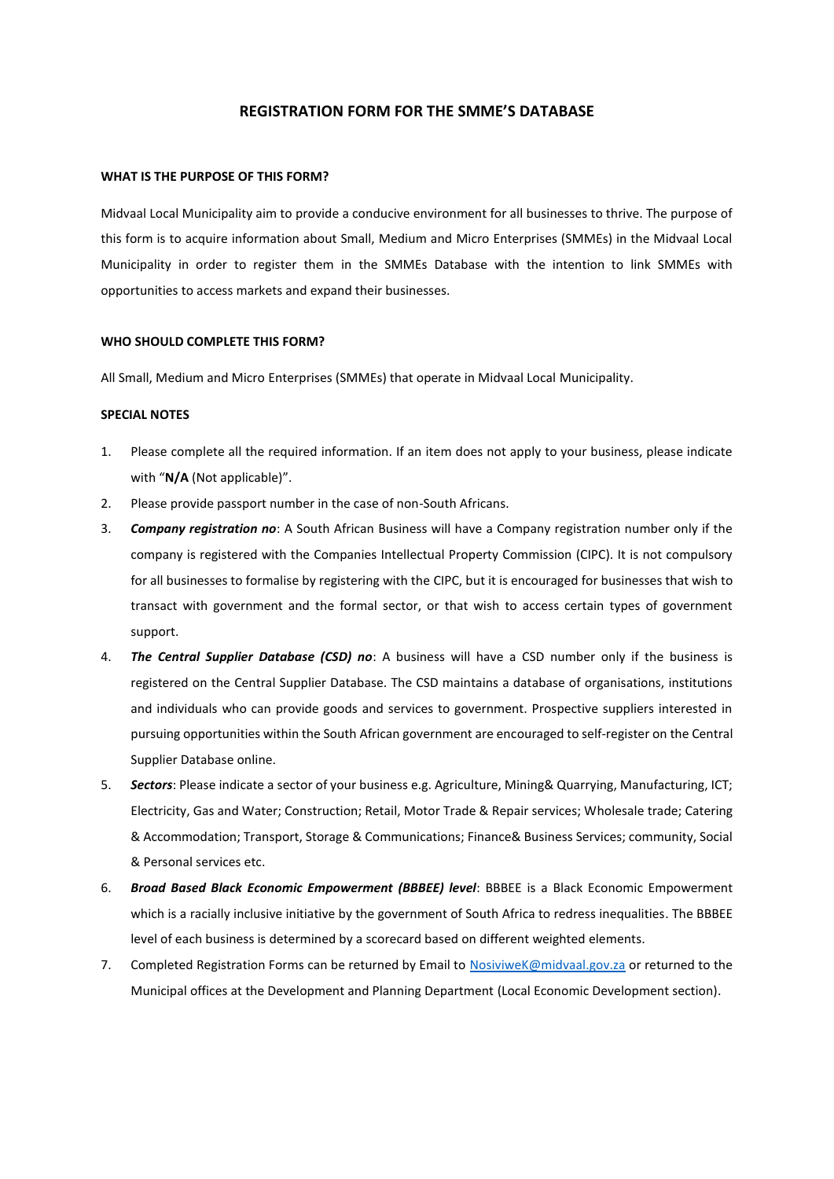## **REGISTRATION FORM FOR THE SMME'S DATABASE**

## **WHAT IS THE PURPOSE OF THIS FORM?**

Midvaal Local Municipality aim to provide a conducive environment for all businesses to thrive. The purpose of this form is to acquire information about Small, Medium and Micro Enterprises (SMMEs) in the Midvaal Local Municipality in order to register them in the SMMEs Database with the intention to link SMMEs with opportunities to access markets and expand their businesses.

## **WHO SHOULD COMPLETE THIS FORM?**

All Small, Medium and Micro Enterprises (SMMEs) that operate in Midvaal Local Municipality.

## **SPECIAL NOTES**

- 1. Please complete all the required information. If an item does not apply to your business, please indicate with "**N/A** (Not applicable)".
- 2. Please provide passport number in the case of non-South Africans.
- 3. *Company registration no*: A South African Business will have a Company registration number only if the company is registered with the Companies Intellectual Property Commission (CIPC). It is not compulsory for all businesses to formalise by registering with the CIPC, but it is encouraged for businesses that wish to transact with government and the formal sector, or that wish to access certain types of government support.
- 4. *The Central Supplier Database (CSD) no*: A business will have a CSD number only if the business is registered on the Central Supplier Database. The CSD maintains a database of organisations, institutions and individuals who can provide goods and services to government. Prospective suppliers interested in pursuing opportunities within the South African government are encouraged to self-register on the Central Supplier Database online.
- 5. *Sectors*: Please indicate a sector of your business e.g. Agriculture, Mining& Quarrying, Manufacturing, ICT; Electricity, Gas and Water; Construction; Retail, Motor Trade & Repair services; Wholesale trade; Catering & Accommodation; Transport, Storage & Communications; Finance& Business Services; community, Social & Personal services etc.
- 6. *Broad Based Black Economic Empowerment (BBBEE) level*: BBBEE is a Black Economic Empowerment which is a racially inclusive initiative by the government of South Africa to redress inequalities. The BBBEE level of each business is determined by a scorecard based on different weighted elements.
- 7. Completed Registration Forms can be returned by Email to [NosiviweK@midvaal.gov.za](mailto:NosiviweK@midvaal.gov.za) or returned to the Municipal offices at the Development and Planning Department (Local Economic Development section).